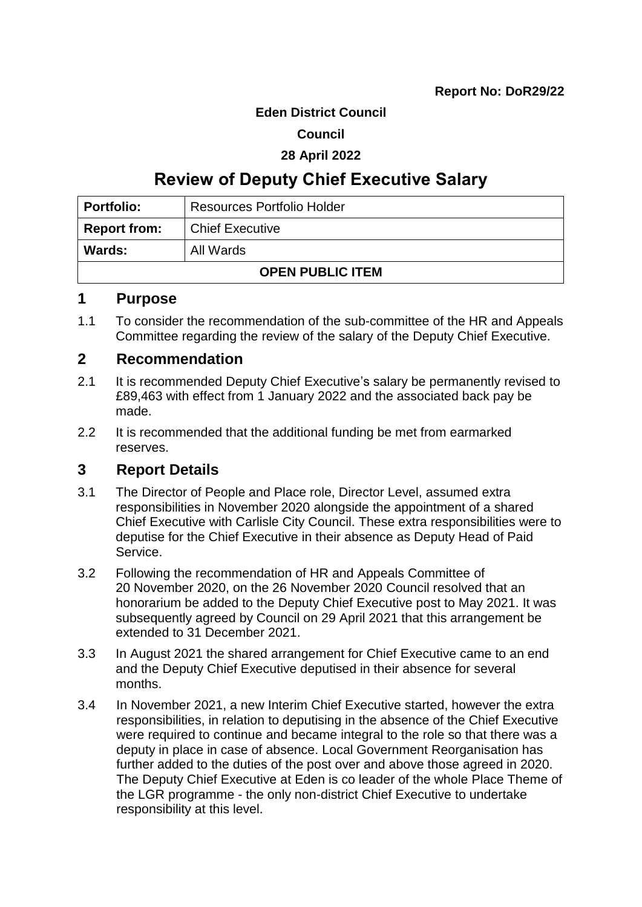#### **Eden District Council**

### **Council**

#### **28 April 2022**

# **Review of Deputy Chief Executive Salary**

| <b>Portfolio:</b>       | <b>Resources Portfolio Holder</b> |  |
|-------------------------|-----------------------------------|--|
| <b>Report from:</b>     | <b>Chief Executive</b>            |  |
| Wards:                  | All Wards                         |  |
| <b>OPEN PUBLIC ITEM</b> |                                   |  |

### **1 Purpose**

1.1 To consider the recommendation of the sub-committee of the HR and Appeals Committee regarding the review of the salary of the Deputy Chief Executive.

### **2 Recommendation**

- 2.1 It is recommended Deputy Chief Executive's salary be permanently revised to £89,463 with effect from 1 January 2022 and the associated back pay be made.
- 2.2 It is recommended that the additional funding be met from earmarked reserves.

### **3 Report Details**

- 3.1 The Director of People and Place role, Director Level, assumed extra responsibilities in November 2020 alongside the appointment of a shared Chief Executive with Carlisle City Council. These extra responsibilities were to deputise for the Chief Executive in their absence as Deputy Head of Paid Service.
- 3.2 Following the recommendation of HR and Appeals Committee of 20 November 2020, on the 26 November 2020 Council resolved that an honorarium be added to the Deputy Chief Executive post to May 2021. It was subsequently agreed by Council on 29 April 2021 that this arrangement be extended to 31 December 2021.
- 3.3 In August 2021 the shared arrangement for Chief Executive came to an end and the Deputy Chief Executive deputised in their absence for several months.
- 3.4 In November 2021, a new Interim Chief Executive started, however the extra responsibilities, in relation to deputising in the absence of the Chief Executive were required to continue and became integral to the role so that there was a deputy in place in case of absence. Local Government Reorganisation has further added to the duties of the post over and above those agreed in 2020. The Deputy Chief Executive at Eden is co leader of the whole Place Theme of the LGR programme - the only non-district Chief Executive to undertake responsibility at this level.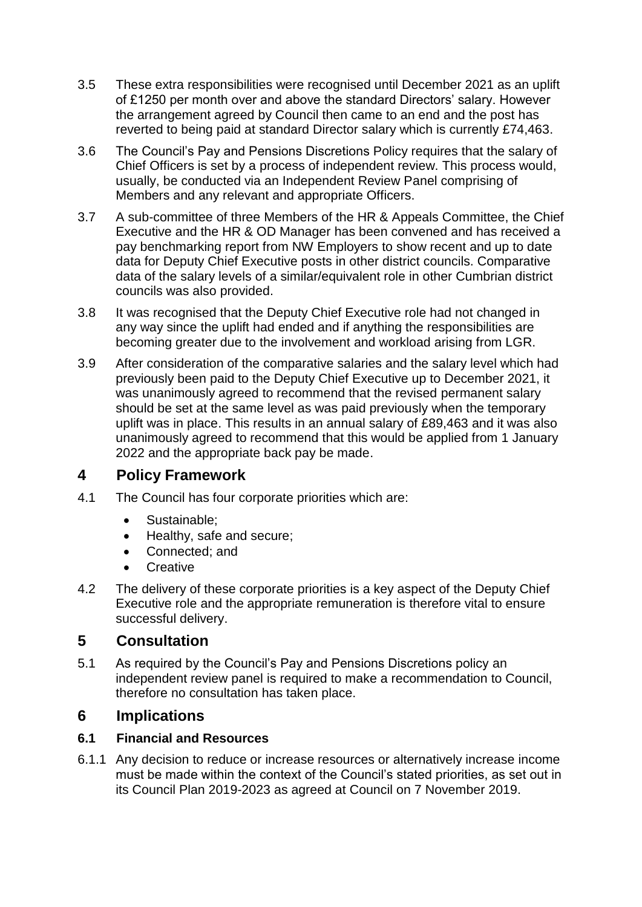- 3.5 These extra responsibilities were recognised until December 2021 as an uplift of £1250 per month over and above the standard Directors' salary. However the arrangement agreed by Council then came to an end and the post has reverted to being paid at standard Director salary which is currently £74,463.
- 3.6 The Council's Pay and Pensions Discretions Policy requires that the salary of Chief Officers is set by a process of independent review. This process would, usually, be conducted via an Independent Review Panel comprising of Members and any relevant and appropriate Officers.
- 3.7 A sub-committee of three Members of the HR & Appeals Committee, the Chief Executive and the HR & OD Manager has been convened and has received a pay benchmarking report from NW Employers to show recent and up to date data for Deputy Chief Executive posts in other district councils. Comparative data of the salary levels of a similar/equivalent role in other Cumbrian district councils was also provided.
- 3.8 It was recognised that the Deputy Chief Executive role had not changed in any way since the uplift had ended and if anything the responsibilities are becoming greater due to the involvement and workload arising from LGR.
- 3.9 After consideration of the comparative salaries and the salary level which had previously been paid to the Deputy Chief Executive up to December 2021, it was unanimously agreed to recommend that the revised permanent salary should be set at the same level as was paid previously when the temporary uplift was in place. This results in an annual salary of £89,463 and it was also unanimously agreed to recommend that this would be applied from 1 January 2022 and the appropriate back pay be made.

# **4 Policy Framework**

- 4.1 The Council has four corporate priorities which are:
	- Sustainable:
	- Healthy, safe and secure;
	- Connected; and
	- **Creative**
- 4.2 The delivery of these corporate priorities is a key aspect of the Deputy Chief Executive role and the appropriate remuneration is therefore vital to ensure successful delivery.

# **5 Consultation**

5.1 As required by the Council's Pay and Pensions Discretions policy an independent review panel is required to make a recommendation to Council, therefore no consultation has taken place.

# **6 Implications**

### **6.1 Financial and Resources**

6.1.1 Any decision to reduce or increase resources or alternatively increase income must be made within the context of the Council's stated priorities, as set out in its Council Plan 2019-2023 as agreed at Council on 7 November 2019.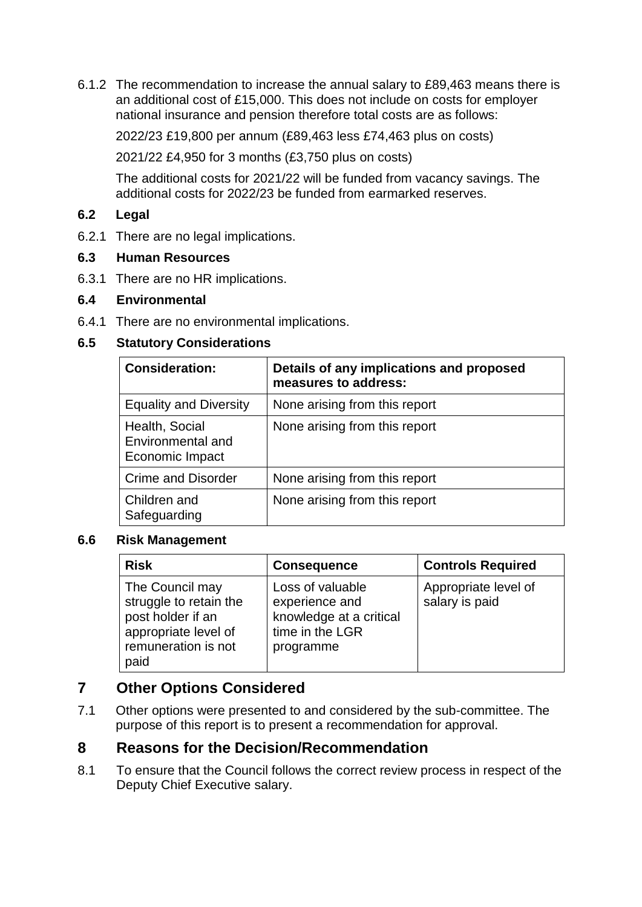6.1.2 The recommendation to increase the annual salary to £89,463 means there is an additional cost of £15,000. This does not include on costs for employer national insurance and pension therefore total costs are as follows:

2022/23 £19,800 per annum (£89,463 less £74,463 plus on costs)

2021/22 £4,950 for 3 months (£3,750 plus on costs)

The additional costs for 2021/22 will be funded from vacancy savings. The additional costs for 2022/23 be funded from earmarked reserves.

### **6.2 Legal**

6.2.1 There are no legal implications.

### **6.3 Human Resources**

6.3.1 There are no HR implications.

### **6.4 Environmental**

6.4.1 There are no environmental implications.

### **6.5 Statutory Considerations**

| <b>Consideration:</b>                                  | Details of any implications and proposed<br>measures to address: |
|--------------------------------------------------------|------------------------------------------------------------------|
| <b>Equality and Diversity</b>                          | None arising from this report                                    |
| Health, Social<br>Environmental and<br>Economic Impact | None arising from this report                                    |
| <b>Crime and Disorder</b>                              | None arising from this report                                    |
| Children and<br>Safeguarding                           | None arising from this report                                    |

#### **6.6 Risk Management**

| <b>Risk</b>                                                                                                           | <b>Consequence</b>                                                                            | <b>Controls Required</b>               |
|-----------------------------------------------------------------------------------------------------------------------|-----------------------------------------------------------------------------------------------|----------------------------------------|
| The Council may<br>struggle to retain the<br>post holder if an<br>appropriate level of<br>remuneration is not<br>paid | Loss of valuable<br>experience and<br>knowledge at a critical<br>time in the LGR<br>programme | Appropriate level of<br>salary is paid |

# **7 Other Options Considered**

7.1 Other options were presented to and considered by the sub-committee. The purpose of this report is to present a recommendation for approval.

### **8 Reasons for the Decision/Recommendation**

8.1 To ensure that the Council follows the correct review process in respect of the Deputy Chief Executive salary.